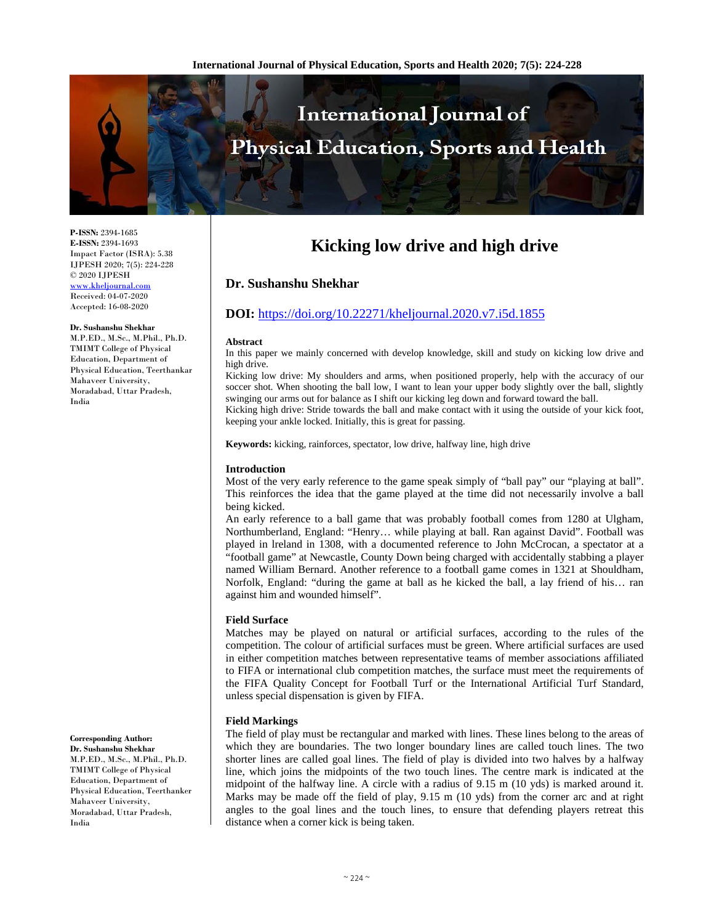

**P-ISSN:** 2394-1685 **E-ISSN:** 2394-1693 Impact Factor (ISRA): 5.38 IJPESH 2020; 7(5): 224-228 © 2020 IJPESH www.kheljournal.com Received: 04-07-2020 Accepted: 16-08-2020

**Dr. Sushanshu Shekhar** 

M.P.ED., M.Sc., M.Phil., Ph.D. TMIMT College of Physical Education, Department of Physical Education, Teerthankar Mahaveer University, Moradabad, Uttar Pradesh, India

#### **Corresponding Author:**

**Dr. Sushanshu Shekhar**  M.P.ED., M.Sc., M.Phil., Ph.D. TMIMT College of Physical Education, Department of Physical Education, Teerthanker Mahaveer University, Moradabad, Uttar Pradesh, India

# **Kicking low drive and high drive**

# **Dr. Sushanshu Shekhar**

# **DOI:** https://doi.org/10.22271/kheljournal.2020.v7.i5d.1855

#### **Abstract**

In this paper we mainly concerned with develop knowledge, skill and study on kicking low drive and high drive.

Kicking low drive: My shoulders and arms, when positioned properly, help with the accuracy of our soccer shot. When shooting the ball low, I want to lean your upper body slightly over the ball, slightly swinging our arms out for balance as I shift our kicking leg down and forward toward the ball. Kicking high drive: Stride towards the ball and make contact with it using the outside of your kick foot, keeping your ankle locked. Initially, this is great for passing.

**Keywords:** kicking, rainforces, spectator, low drive, halfway line, high drive

# **Introduction**

Most of the very early reference to the game speak simply of "ball pay" our "playing at ball". This reinforces the idea that the game played at the time did not necessarily involve a ball being kicked.

An early reference to a ball game that was probably football comes from 1280 at Ulgham, Northumberland, England: "Henry… while playing at ball. Ran against David". Football was played in lreland in 1308, with a documented reference to John McCrocan, a spectator at a "football game" at Newcastle, County Down being charged with accidentally stabbing a player named William Bernard. Another reference to a football game comes in 1321 at Shouldham, Norfolk, England: "during the game at ball as he kicked the ball, a lay friend of his… ran against him and wounded himself".

# **Field Surface**

Matches may be played on natural or artificial surfaces, according to the rules of the competition. The colour of artificial surfaces must be green. Where artificial surfaces are used in either competition matches between representative teams of member associations affiliated to FIFA or international club competition matches, the surface must meet the requirements of the FIFA Quality Concept for Football Turf or the International Artificial Turf Standard, unless special dispensation is given by FIFA.

# **Field Markings**

The field of play must be rectangular and marked with lines. These lines belong to the areas of which they are boundaries. The two longer boundary lines are called touch lines. The two shorter lines are called goal lines. The field of play is divided into two halves by a halfway line, which joins the midpoints of the two touch lines. The centre mark is indicated at the midpoint of the halfway line. A circle with a radius of 9.15 m (10 yds) is marked around it. Marks may be made off the field of play, 9.15 m (10 yds) from the corner arc and at right angles to the goal lines and the touch lines, to ensure that defending players retreat this distance when a corner kick is being taken.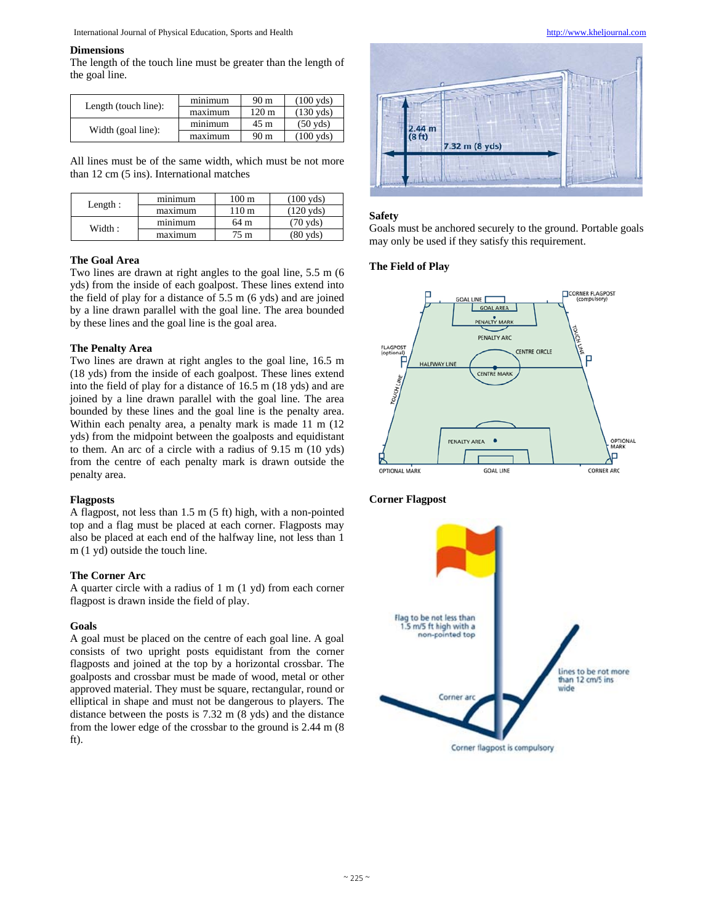#### **Dimensions**

The length of the touch line must be greater than the length of the goal line.

| Length (touch line): | minimum | 90 <sub>m</sub> | $(100 \text{ vds})$ |
|----------------------|---------|-----------------|---------------------|
|                      | maximum | 120 m           | $(130 \text{ vds})$ |
| Width (goal line):   | minimum | 45 m            | $(50 \text{ vds})$  |
|                      | maximum | 90 <sub>m</sub> | $(100 \text{ vds})$ |

All lines must be of the same width, which must be not more than 12 cm (5 ins). International matches

| Length: | minimum | $100 \text{ m}$  | $(100 \text{ vds})$ |
|---------|---------|------------------|---------------------|
|         | maximum | 110 <sub>m</sub> | $(120 \text{ vds})$ |
| Width:  | minimum | 64 m             | $(70 \text{ vds})$  |
|         | maximum | $75 \text{ m}$   | (80 yds)            |

# **The Goal Area**

Two lines are drawn at right angles to the goal line, 5.5 m (6 yds) from the inside of each goalpost. These lines extend into the field of play for a distance of 5.5 m (6 yds) and are joined by a line drawn parallel with the goal line. The area bounded by these lines and the goal line is the goal area.

#### **The Penalty Area**

Two lines are drawn at right angles to the goal line, 16.5 m (18 yds) from the inside of each goalpost. These lines extend into the field of play for a distance of 16.5 m (18 yds) and are joined by a line drawn parallel with the goal line. The area bounded by these lines and the goal line is the penalty area. Within each penalty area, a penalty mark is made 11 m (12 yds) from the midpoint between the goalposts and equidistant to them. An arc of a circle with a radius of 9.15 m (10 yds) from the centre of each penalty mark is drawn outside the penalty area.

## **Flagposts**

A flagpost, not less than 1.5 m (5 ft) high, with a non-pointed top and a flag must be placed at each corner. Flagposts may also be placed at each end of the halfway line, not less than 1 m (1 yd) outside the touch line.

#### **The Corner Arc**

A quarter circle with a radius of 1 m (1 yd) from each corner flagpost is drawn inside the field of play.

#### **Goals**

A goal must be placed on the centre of each goal line. A goal consists of two upright posts equidistant from the corner flagposts and joined at the top by a horizontal crossbar. The goalposts and crossbar must be made of wood, metal or other approved material. They must be square, rectangular, round or elliptical in shape and must not be dangerous to players. The distance between the posts is 7.32 m (8 yds) and the distance from the lower edge of the crossbar to the ground is 2.44 m (8 ft).



#### **Safety**

Goals must be anchored securely to the ground. Portable goals may only be used if they satisfy this requirement.

# **The Field of Play**



# **Corner Flagpost**

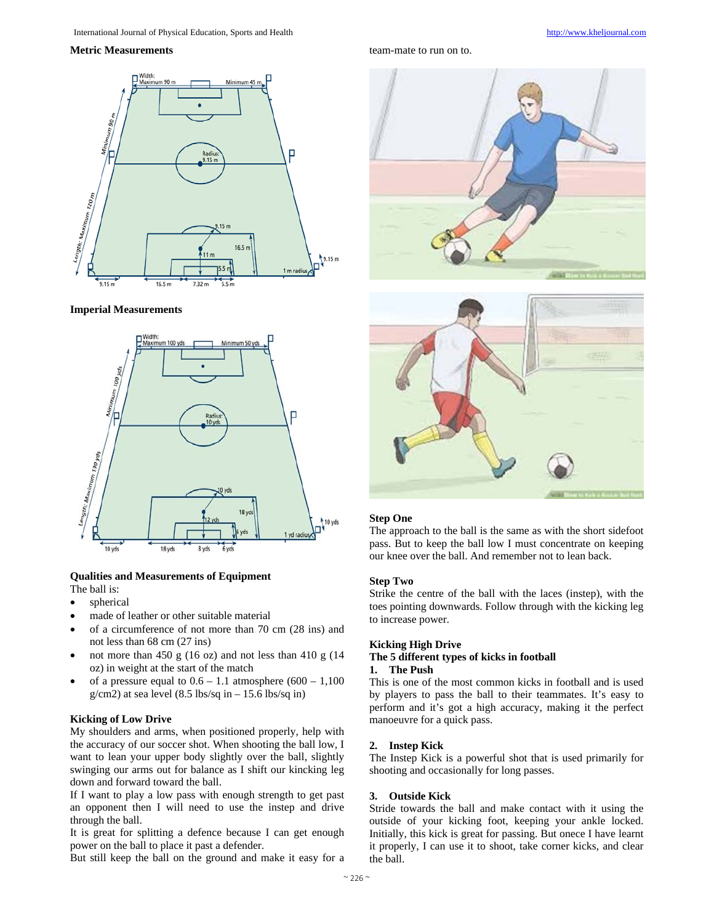#### **Metric Measurements**



#### **Imperial Measurements**



## **Qualities and Measurements of Equipment**  The ball is:

- spherical
- made of leather or other suitable material
- of a circumference of not more than 70 cm (28 ins) and not less than 68 cm (27 ins)
- not more than 450 g (16 oz) and not less than 410 g (14 oz) in weight at the start of the match
- of a pressure equal to  $0.6 1.1$  atmosphere  $(600 1,100)$  $g/cm2$ ) at sea level (8.5 lbs/sq in – 15.6 lbs/sq in)

# **Kicking of Low Drive**

My shoulders and arms, when positioned properly, help with the accuracy of our soccer shot. When shooting the ball low, I want to lean your upper body slightly over the ball, slightly swinging our arms out for balance as I shift our kincking leg down and forward toward the ball.

If I want to play a low pass with enough strength to get past an opponent then I will need to use the instep and drive through the ball.

It is great for splitting a defence because I can get enough power on the ball to place it past a defender.

But still keep the ball on the ground and make it easy for a

team-mate to run on to.





# **Step One**

The approach to the ball is the same as with the short sidefoot pass. But to keep the ball low I must concentrate on keeping our knee over the ball. And remember not to lean back.

#### **Step Two**

Strike the centre of the ball with the laces (instep), with the toes pointing downwards. Follow through with the kicking leg to increase power.

#### **Kicking High Drive**

# **The 5 different types of kicks in football**

### **1. The Push**

This is one of the most common kicks in football and is used by players to pass the ball to their teammates. It's easy to perform and it's got a high accuracy, making it the perfect manoeuvre for a quick pass.

#### **2. Instep Kick**

The Instep Kick is a powerful shot that is used primarily for shooting and occasionally for long passes.

# **3. Outside Kick**

Stride towards the ball and make contact with it using the outside of your kicking foot, keeping your ankle locked. Initially, this kick is great for passing. But onece I have learnt it properly, I can use it to shoot, take corner kicks, and clear the ball.